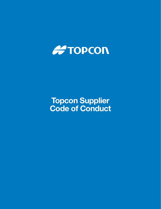

# Topcon Supplier Code of Conduct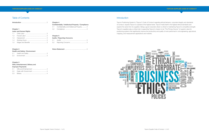### Chapter 4

| Confidentiality / Intellectual Property / Compliance |  |  |  |
|------------------------------------------------------|--|--|--|
|                                                      |  |  |  |

- 4.1 Confidentiality and Intellectual Property ........ 4.2 Compliance ................................................... 4
- Chapter 5

|  | <b>Audits / Reporting Concerns</b> |  |
|--|------------------------------------|--|
|  |                                    |  |

Vision Statement .................................................... 5

## Table of Contents

### Chapter 1

### Labor and Human Rights

### Chapter 2

#### Health and Safety / Environment

### Chapter 3

### Gifts, Entertainment, Bribery and Improper Payments

- 3.1 Gifts and Entertainment ................................. 4
- 3.2 Deals with Government .................................. 4
- 3.3 Bribery .......................................................... 4

### **Introduction**

Topcon Positioning System's ("Topcon") Code of Conduct regarding ethical behavior, corporate integrity and standards of conduct, requires Topcon to operate at the highest levels. Topcon holds itself to the highest ethical standards and expects the same from its suppliers. Being a good corporate citizen is critical to maintaining Topcon's competitive strength. Topcon's suppliers play a critical role in supporting Topcon's mission to be "The Primary Source" of superior value for positioning systems that significantly improve the productivity and quality of work performed in civil engineering, agricultural, mapping, and measurement applications and markets.



### TOPCON SUPPLIER CODE OF CONDUCT TOPCON SUPPLIER CODE OF CONDUCT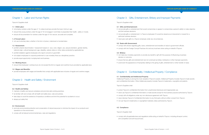# Chapter 3: Gifts, Entertainment, Bribery and Improper Payments

Topcon's Suppliers shall:

#### 3.1 Gifts and Entertainment:

• not provide gifts or entertainment that would compromise or appear to compromise a person's ability to make objective

• not provide gifts or entertainment to Topcon employees if it would be viewed as an inducement or reward for a

- and fair business decisions.
- particular business decision.
- never give cash gifts to a Topcon employee under any circumstances.

#### 3.2 Deals with Government:

- comply with all laws regarding gifts, loans, entertainment and transfers of value to government officials.
- comply with the Foreign Corrupt Practices Act and any local laws when acting on behalf of Topcon.

### 3.3 Bribery:

- not make any monetary payments or provide any benefit or gift with the purpose of influencing a business decision or outcome.
- ensure that any gifts and entertainment are not construed as bribes, kickbacks or other improper payments.
- 

• avoid even the appearance of impropriety relating to the giving of gifts, entertainment or other transfer of value.

# Chapter 4: Confidentiality / Intellectual Property / Compliance

#### 4.1 Confidentiality and Intellectual Property

Intellectual Property, is among the most valuable of Topcon's assets. Intellectual Property includes Topcon's trade secrets and confidential information. Other intellectual property includes Topcon's trademarks, copyrights and patents.

Topcon's Suppliers shall:

• never use Topcon's confidential information or trade secrets except for the business purpose authorized by Topcon.

- protect Topcon's confidential information from unauthorized disclosure and inappropriate use.
- 
- comply with all obligations under any non-disclosure agreement with Topcon.
- never disclose Topcon's Confidential Information to any third party without written consent from Topcon.
- not use Topcon's trademarks or copyrighted materials unless authorized by Topcon.

### 4.2 Compliance

Topcon's Supplier shall:

• comply with all applicable laws and regulations while acting on behalf of Topcon, including all export control, anti-competition and anti-boycott laws.

# Chapter 1: Labor and Human Rights

Topcon's Suppliers shall:

### 1.1 Child Labor:

- not employ workers under the age of 14 unless local laws provide the lower minimum age.
- ensure that young workers under the age of 18 not engage in work likely to jeopardize their health, safety or morals.
- ensure all documentation for workers under the age of 18 is secure, accurate and complete.

### 1. 2 Forced Labor:

• not use involuntary labor, whether in the form of prison, indentured or bonded labor.

#### 1.3 Harassment:

- prohibit unlawful discrimination / harassment based on race, color, religion, sex, sexual orientation, gender identity, national origin, cultural background, age, disability, veteran status or other status protected by applicable law.
- prohibit retaliation against employees who report concerns in good faith.
- not subject employees to corporal punishment or use monetary fines as a disciplinary practice.
- provide equal opportunity in employment and business.

### 1.4 Working Hours:

• ensure that employees' working hours do not exceed the limit on regular and overtime hours provided by applicable laws.

### 1.5 Wages and Benefits:

• provide employees with wages and benefits that comply with applicable laws inclusive of regular and overtime wages.

### Chapter 2: Health and Safety / Environment

Topcon's Suppliers shall:

### 2.2 Health and Safety:

- maintain a healthy and secure workplace and promote safe working practices.
- be familiar with and comply with all health and safety laws, rules and policies.
- take steps to avoid the existence of hazardous conditions and limit the potential for accidents to occur.
- always put safety first.

#### 2.3 Environment:

- promote environmental protection and conservation of natural resources to minimize the impact of our products and operations on the environment.
- comply with all relevant environmental laws, rules and regulations.

### TOPCON SUPPLIER CODE OF CONDUCT TOPCON SUPPLIER CODE OF CONDUCT